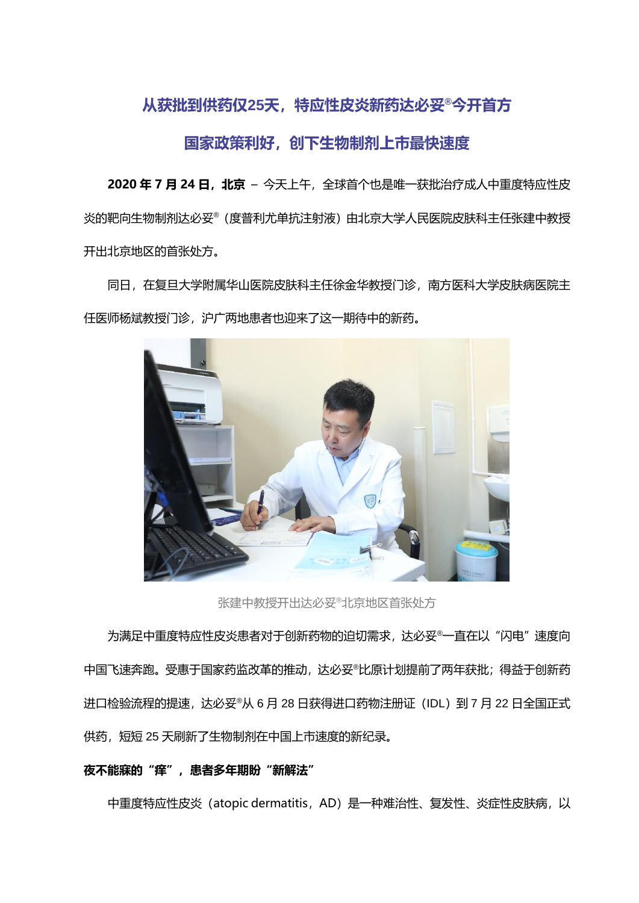# **从获批到供药仅25天,特应性皮炎新药达必妥®今开首方**

# **国家政策利好,创下生物制剂上市最快速度**

**2020 年 7 月 24 日,北京** – 今天上午,全球首个也是唯一获批治疗成人中重度特应性皮 炎的靶向生物制剂达必妥®(度普利尤单抗注射液)由北京大学人民医院皮肤科主任张建中教授 开出北京地区的首张处方。

同日,在复旦大学附属华山医院皮肤科主任徐金华教授门诊,南方医科大学皮肤病医院主 任医师杨斌教授门诊,沪广两地患者也迎来了这一期待中的新药。



张建中教授开出达必妥<sup>®</sup>北京地区首张处方

为满足中重度特应性皮炎患者对于创新药物的迫切需求, 达必妥®一直在以"闪电"速度向 中国飞速奔跑。受惠于国家药监改革的推动,达必妥®比原计划提前了两年获批;得益于创新药 进口检验流程的提速,达必妥®从 6 月 28 日获得进口药物注册证(IDL)到 7 月 22 日全国正式 供药,短短 25 天刷新了生物制剂在中国上市速度的新纪录。

## **夜不能寐的"痒",患者多年期盼"新解法"**

中重度特应性皮炎 (atopic dermatitis, AD) 是一种难治性、复发性、炎症性皮肤病, 以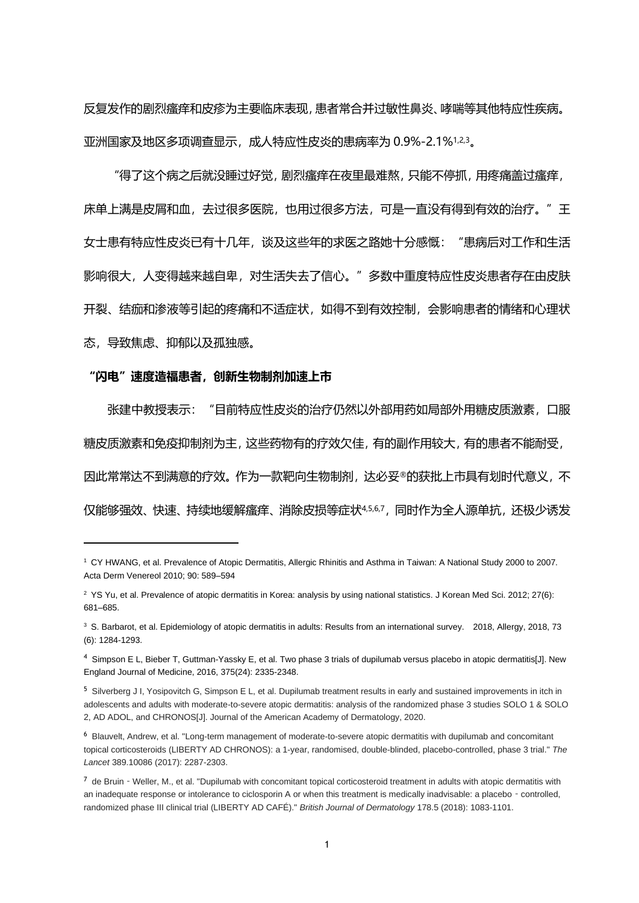反复发作的剧烈瘙痒和皮疹为主要临床表现,患者常合并过敏性鼻炎、哮喘等其他特应性疾病。 亚洲国家及地区多项调查显示,成人特应性皮炎的患病率为 0.9%-2.1%1,2,3。

"得了这个病之后就没睡过好觉,剧烈瘙痒在夜里最难熬,只能不停抓,用疼痛盖过瘙痒, 床单上满是皮屑和血,去过很多医院,也用过很多方法,可是一直没有得到有效的治疗。"王 女士患有特应性皮炎已有十几年,谈及这些年的求医之路她十分感慨:"患病后对工作和生活 影响很大,人变得越来越自卑,对生活失去了信心。"多数中重度特应性皮炎患者存在由皮肤 开裂、结痂和渗液等引起的疼痛和不适症状,如得不到有效控制,会影响患者的情绪和心理状 态,导致焦虑、抑郁以及孤独感。

#### **"闪电"速度造福患者,创新生物制剂加速上市**

张建中教授表示:"目前特应性皮炎的治疗仍然以外部用药如局部外用糖皮质激素,口服 糖皮质激素和免疫抑制剂为主,这些药物有的疗效欠佳,有的副作用较大,有的患者不能耐受, 因此常常达不到满意的疗效。作为一款靶向生物制剂,达必妥®的获批上市具有划时代意义,不 仅能够强效、快速、持续地缓解瘙痒、消除皮损等症状4,5,6,7,同时作为全人源单抗,还极少诱发

<sup>1</sup> CY HWANG, et al. Prevalence of Atopic Dermatitis, Allergic Rhinitis and Asthma in Taiwan: A National Study 2000 to 2007. Acta Derm Venereol 2010; 90: 589–594

<sup>&</sup>lt;sup>2</sup> YS Yu, et al. Prevalence of atopic dermatitis in Korea: analysis by using national statistics. J Korean Med Sci. 2012; 27(6): 681–685.

<sup>&</sup>lt;sup>3</sup> S. Barbarot, et al. Epidemiology of atopic dermatitis in adults: Results from an international survey. 2018, Allergy, 2018, 73 (6): 1284-1293.

<sup>4</sup> Simpson E L, Bieber T, Guttman-Yassky E, et al. Two phase 3 trials of dupilumab versus placebo in atopic dermatitis[J]. New England Journal of Medicine, 2016, 375(24): 2335-2348.

<sup>&</sup>lt;sup>5</sup> Silverberg J I, Yosipovitch G, Simpson E L, et al. Dupilumab treatment results in early and sustained improvements in itch in adolescents and adults with moderate-to-severe atopic dermatitis: analysis of the randomized phase 3 studies SOLO 1 & SOLO 2, AD ADOL, and CHRONOS[J]. Journal of the American Academy of Dermatology, 2020.

<sup>6</sup> Blauvelt, Andrew, et al. "Long-term management of moderate-to-severe atopic dermatitis with dupilumab and concomitant topical corticosteroids (LIBERTY AD CHRONOS): a 1-year, randomised, double-blinded, placebo-controlled, phase 3 trial." *The Lancet* 389.10086 (2017): 2287-2303.

<sup>7</sup> de Bruin - Weller, M., et al. "Dupilumab with concomitant topical corticosteroid treatment in adults with atopic dermatitis with an inadequate response or intolerance to ciclosporin A or when this treatment is medically inadvisable: a placebo - controlled, randomized phase III clinical trial (LIBERTY AD CAFÉ)." *British Journal of Dermatology* 178.5 (2018): 1083-1101.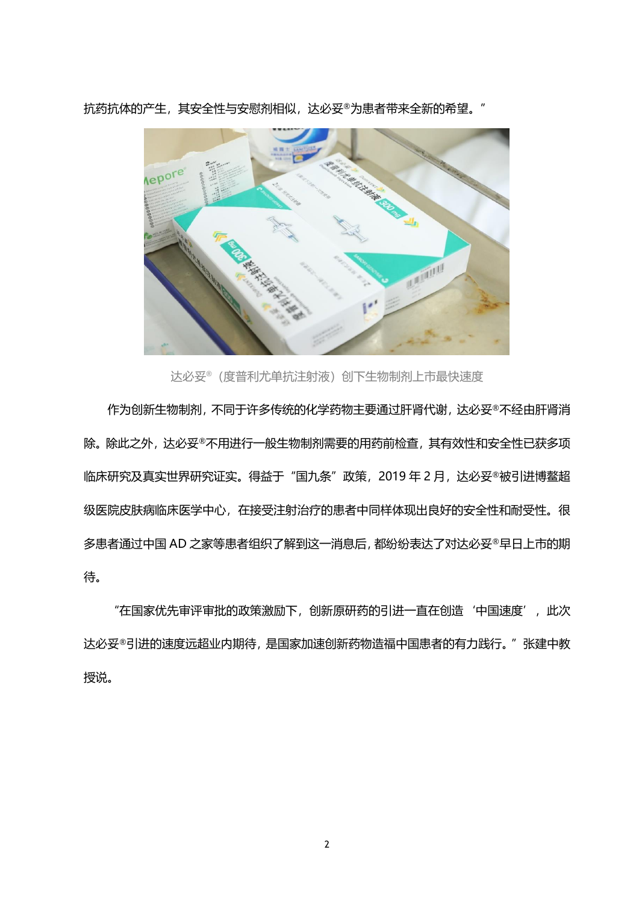

抗药抗体的产生, 其安全性与安慰剂相似, 达必妥®为患者带来全新的希望。"

达必妥®(度普利尤单抗注射液)创下生物制剂上市最快速度

作为创新生物制剂,不同于许多传统的化学药物主要通过肝肾代谢,达必妥®不经由肝肾消 除。除此之外,达必妥®不用进行一般生物制剂需要的用药前检查,其有效性和安全性已获多项 临床研究及真实世界研究证实。得益于"国九条"政策, 2019 年 2 月, 达必妥®被引进博鳌超 级医院皮肤病临床医学中心,在接受注射治疗的患者中同样体现出良好的安全性和耐受性。很 多患者通过中国 AD 之家等患者组织了解到这一消息后,都纷纷表达了对达必妥®早日上市的期 待。

"在国家优先审评审批的政策激励下, 创新原研药的引进一直在创造'中国速度', 此次 达必妥®引进的速度远超业内期待,是国家加速创新药物造福中国患者的有力践行。"张建中教 授说。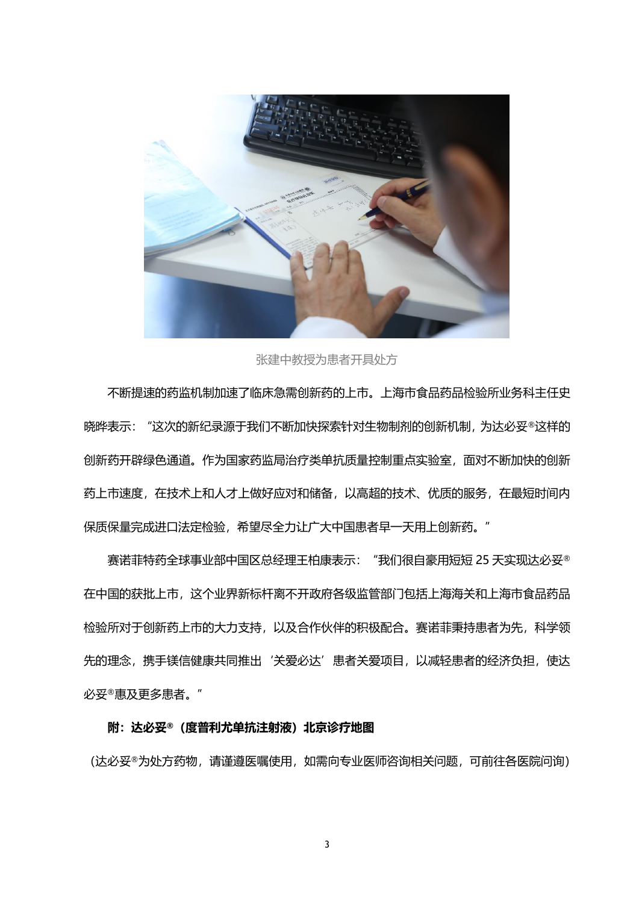

张建中教授为患者开具处方

不断提速的药监机制加速了临床急需创新药的上市。上海市食品药品检验所业务科主任史 晓晔表示: "这次的新纪录源于我们不断加快探索针对生物制剂的创新机制, 为达必妥®这样的 创新药开辟绿色通道。作为国家药监局治疗类单抗质量控制重点实验室,面对不断加快的创新 药上市速度,在技术上和人才上做好应对和储备,以高超的技术、优质的服务,在最短时间内 保质保量完成进口法定检验,希望尽全力让广大中国患者早一天用上创新药。"

赛诺菲特药全球事业部中国区总经理王柏康表示:"我们很自豪用短短 25 天实现达必妥® 在中国的获批上市,这个业界新标杆离不开政府各级监管部门包括上海海关和上海市食品药品 检验所对于创新药上市的大力支持,以及合作伙伴的积极配合。赛诺菲秉持患者为先,科学领 先的理念,携手镁信健康共同推出'关爱必达'患者关爱项目,以减轻患者的经济负担,使达 必妥®惠及更多患者。"

### **附:达必妥®(度普利尤单抗注射液)北京诊疗地图**

(达必妥®为处方药物,请谨遵医嘱使用,如需向专业医师咨询相关问题,可前往各医院问询)